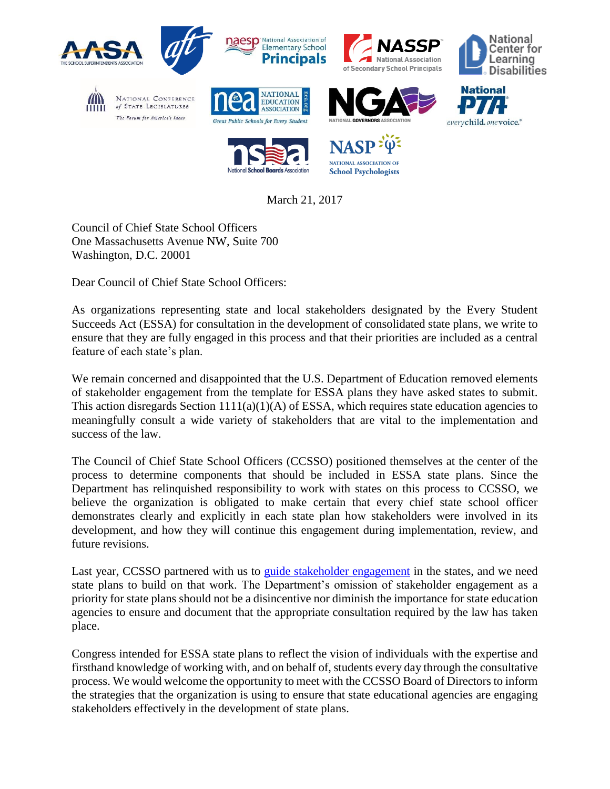

March 21, 2017

Council of Chief State School Officers One Massachusetts Avenue NW, Suite 700 Washington, D.C. 20001

Dear Council of Chief State School Officers:

As organizations representing state and local stakeholders designated by the Every Student Succeeds Act (ESSA) for consultation in the development of consolidated state plans, we write to ensure that they are fully engaged in this process and that their priorities are included as a central feature of each state's plan.

We remain concerned and disappointed that the U.S. Department of Education removed elements of stakeholder engagement from the template for ESSA plans they have asked states to submit. This action disregards Section  $1111(a)(1)(A)$  of ESSA, which requires state education agencies to meaningfully consult a wide variety of stakeholders that are vital to the implementation and success of the law.

The Council of Chief State School Officers (CCSSO) positioned themselves at the center of the process to determine components that should be included in ESSA state plans. Since the Department has relinquished responsibility to work with states on this process to CCSSO, we believe the organization is obligated to make certain that every chief state school officer demonstrates clearly and explicitly in each state plan how stakeholders were involved in its development, and how they will continue this engagement during implementation, review, and future revisions.

Last year, CCSSO partnered with us to [guide stakeholder engagement](http://www.ccsso.org/Documents/2016/ESSA/CCSSO%20Stakeholder%20Engagement%20Guide%20FINAL.pdf) in the states, and we need state plans to build on that work. The Department's omission of stakeholder engagement as a priority for state plans should not be a disincentive nor diminish the importance for state education agencies to ensure and document that the appropriate consultation required by the law has taken place.

Congress intended for ESSA state plans to reflect the vision of individuals with the expertise and firsthand knowledge of working with, and on behalf of, students every day through the consultative process. We would welcome the opportunity to meet with the CCSSO Board of Directors to inform the strategies that the organization is using to ensure that state educational agencies are engaging stakeholders effectively in the development of state plans.